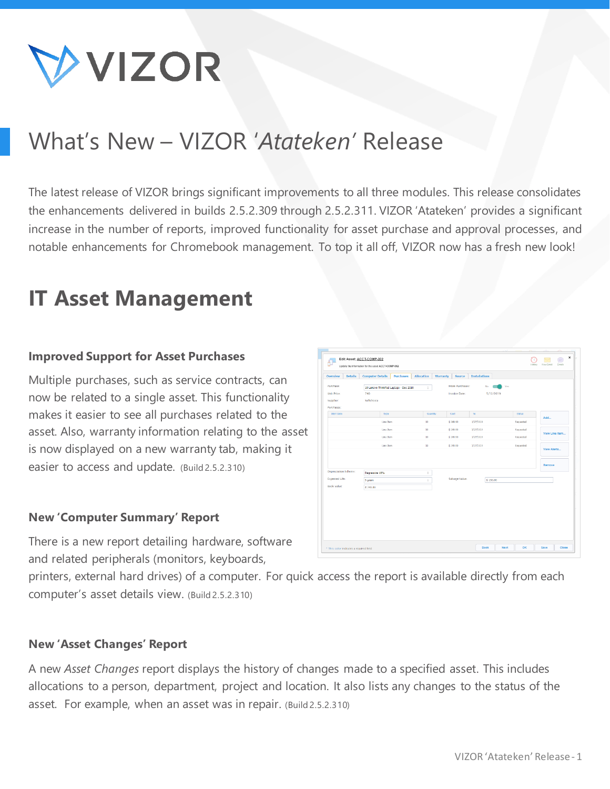

# What's New – VIZOR '*Atateken'* Release

The latest release of VIZOR brings significant improvements to all three modules. This release consolidates the enhancements delivered in builds 2.5.2.309 through 2.5.2.311. VIZOR 'Atateken' provides a significant increase in the number of reports, improved functionality for asset purchase and approval processes, and notable enhancements for Chromebook management. To top it all off, VIZOR now has a fresh new look!

# **IT Asset Management**

### **Improved Support for Asset Purchases**

Multiple purchases, such as service contracts, can now be related to a single asset. This functionality makes it easier to see all purchases related to the asset. Also, warranty information relating to the asset is now displayed on a new warranty tab, making it easier to access and update. (Build 2.5.2.310)

#### **New 'Computer Summary' Report**

There is a new report detailing hardware, software and related peripherals (monitors, keyboards,

printers, external hard drives) of a computer. For quick access the report is available directly from each computer's asset details view. (Build 2.5.2.310)

#### **New 'Asset Changes' Report**

A new *Asset Changes* report displays the history of changes made to a specified asset. This includes allocations to a person, department, project and location. It also lists any changes to the status of the asset. For example, when an asset was in repair. (Build 2.5.2.310)

|                       | <b>Computer Details</b><br><b>Purchases</b> | Allocation<br>Warranty | Source          | <b>Installations</b> |           |                |  |  |
|-----------------------|---------------------------------------------|------------------------|-----------------|----------------------|-----------|----------------|--|--|
| Purchase:             | 10 Lenovo ThinkPad Laptops - Dec 2019       | $\ddot{\phantom{a}}$   | More Purchases: | No.                  | Yes       |                |  |  |
| Unit Price:           | 740                                         |                        | Invoice Date:   | 5/12/2019            |           |                |  |  |
| Supplier:             | Softchoice                                  |                        |                 |                      |           |                |  |  |
| Purchases:            |                                             |                        |                 |                      |           |                |  |  |
| Start Date            | Type                                        | <b>Quantity</b>        | Cost            | To:                  | Status    | Add            |  |  |
|                       | <b>Line Item</b>                            | 10                     | \$249.90        | 1/27/2019            | Requested |                |  |  |
|                       | Line Item                                   | 10                     | \$249.90        | 1/27/2019            | Requested |                |  |  |
|                       | Line Item                                   | 10                     | \$249.90        | 1/27/2019            | Requested | View Line Item |  |  |
|                       | Line Item                                   | 10                     | \$249.90        | 1/27/2019            | Requested |                |  |  |
|                       |                                             |                        |                 |                      |           | View Alerts    |  |  |
|                       |                                             |                        |                 |                      |           |                |  |  |
|                       |                                             |                        |                 |                      |           | Remove         |  |  |
| Depreciation Scheme:  | Degressive 10%                              | ĩ.                     |                 |                      |           |                |  |  |
| <b>Expected Life:</b> | 5 years                                     | ÷                      | Salvage Value:  | \$150.00             |           |                |  |  |
| <b>Book Value:</b>    | \$740.00                                    |                        |                 |                      |           |                |  |  |
|                       |                                             |                        |                 |                      |           |                |  |  |
|                       |                                             |                        |                 |                      |           |                |  |  |
|                       |                                             |                        |                 |                      |           |                |  |  |
|                       |                                             |                        |                 |                      |           |                |  |  |
|                       |                                             |                        |                 |                      |           |                |  |  |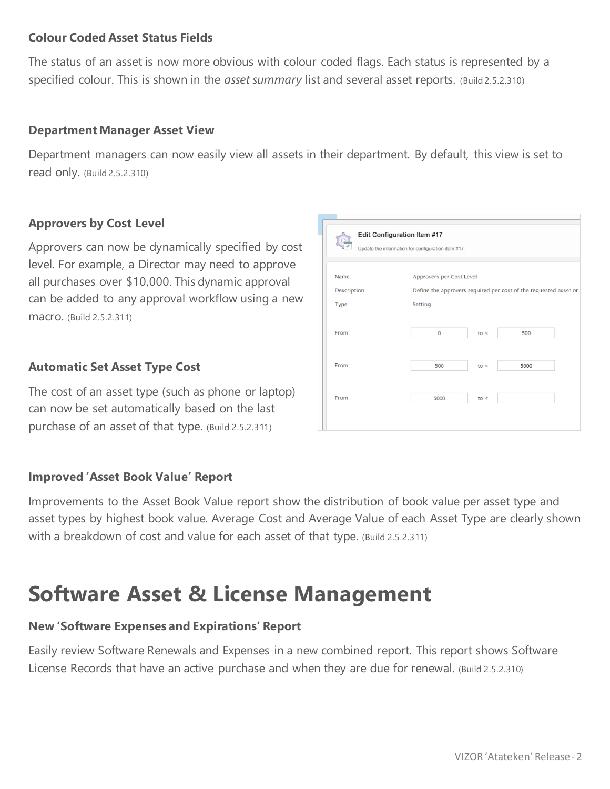### **Colour Coded Asset Status Fields**

The status of an asset is now more obvious with colour coded flags. Each status is represented by a specified colour. This is shown in the *asset summary* list and several asset reports. (Build 2.5.2.310)

### **Department Manager Asset View**

Department managers can now easily view all assets in their department. By default, this view is set to read only. (Build 2.5.2.310)

### **Approvers by Cost Level**

Approvers can now be dynamically specified by cost level. For example, a Director may need to approve all purchases over \$10,000. This dynamic approval can be added to any approval workflow using a new macro. (Build 2.5.2.311)

### **Automatic Set Asset Type Cost**

The cost of an asset type (such as phone or laptop) can now be set automatically based on the last purchase of an asset of that type. (Build 2.5.2.311)

### **Improved 'Asset Book Value' Report**

Improvements to the Asset Book Value report show the distribution of book value per asset type and asset types by highest book value. Average Cost and Average Value of each Asset Type are clearly shown with a breakdown of cost and value for each asset of that type. (Build 2.5.2.311)

## **Software Asset & License Management**

### **New 'Software Expenses and Expirations' Report**

Easily review Software Renewals and Expenses in a new combined report. This report shows Software License Records that have an active purchase and when they are due for renewal. (Build 2.5.2.310)

|              | Edit Configuration Item #17<br>Update the information for configuration item #17. |      |                                                                  |  |  |  |  |
|--------------|-----------------------------------------------------------------------------------|------|------------------------------------------------------------------|--|--|--|--|
| Name:        | Approvers per Cost Level                                                          |      |                                                                  |  |  |  |  |
| Description: |                                                                                   |      | Define the approvers required per cost of the requested asset or |  |  |  |  |
| Type:        | Setting                                                                           |      |                                                                  |  |  |  |  |
| From:        | $\mathbf{0}$                                                                      | to < | 500                                                              |  |  |  |  |
| From:        | 500                                                                               | to < | 5000                                                             |  |  |  |  |
| From:        | 5000                                                                              | to < |                                                                  |  |  |  |  |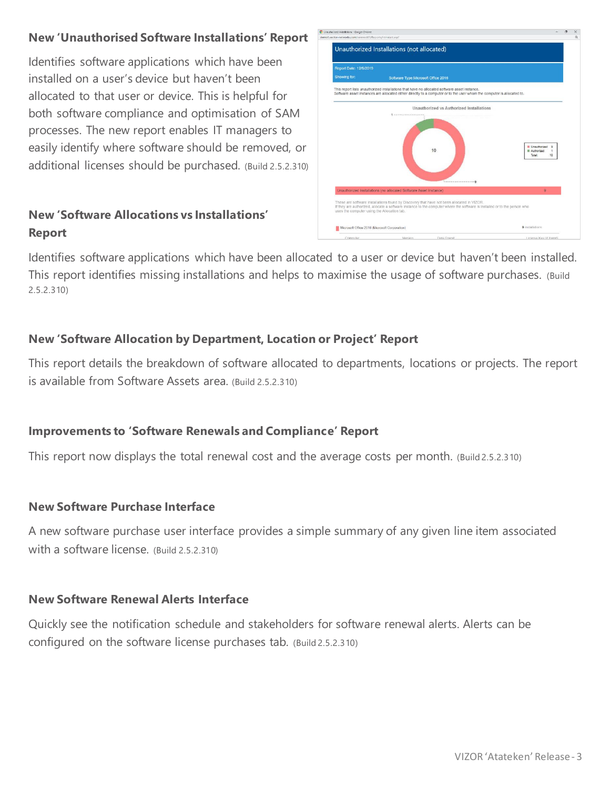## **New 'Unauthorised Software Installations' Report**

Identifies software applications which have been installed on a user's device but haven't been allocated to that user or device. This is helpful for both software compliance and optimisation of SAM processes. The new report enables IT managers to easily identify where software should be removed, or additional licenses should be purchased. (Build 2.5.2.310)

## **New 'Software Allocations vs Installations' Report**



Identifies software applications which have been allocated to a user or device but haven't been installed. This report identifies missing installations and helps to maximise the usage of software purchases. (Build 2.5.2.310)

## **New 'Software Allocation by Department, Location or Project' Report**

This report details the breakdown of software allocated to departments, locations or projects. The report is available from Software Assets area. (Build 2.5.2.310)

## **Improvements to 'Software Renewals and Compliance' Report**

This report now displays the total renewal cost and the average costs per month. (Build 2.5.2.310)

### **New Software Purchase Interface**

A new software purchase user interface provides a simple summary of any given line item associated with a software license. (Build 2.5.2.310)

### **New Software Renewal Alerts Interface**

Quickly see the notification schedule and stakeholders for software renewal alerts. Alerts can be configured on the software license purchases tab. (Build 2.5.2.310)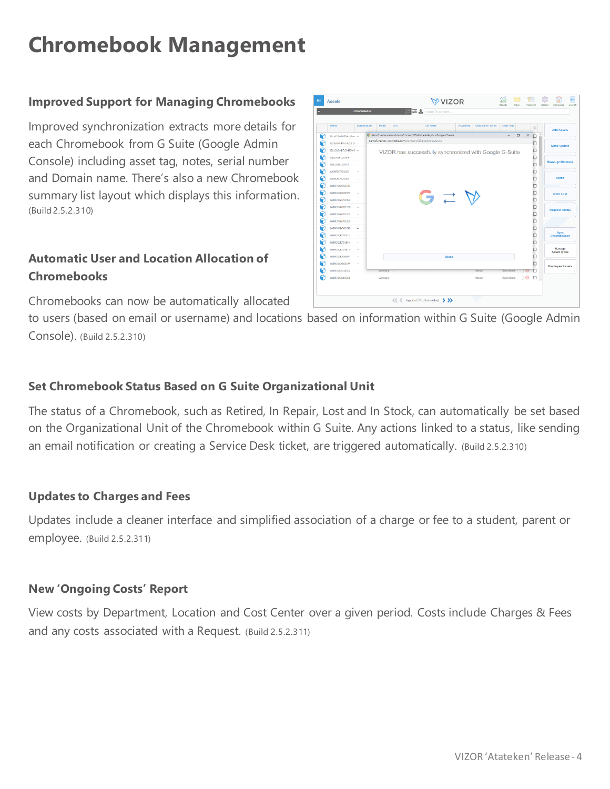# **Chromebook Management**

### **Improved Support for Managing Chromebooks**

Improved synchronization extracts more details for each Chromebook from G Suite (Google Admin Console) including asset tag, notes, serial number and Domain name. There's also a new Chromebook summary list layout which displays this information. (Build 2.5.2.310)

## **Automatic User and Location Allocation of Chromebooks**

Chromebooks can now be automatically allocated

to users (based on email or username) and locations based on information within G Suite (Google Admin Console). (Build 2.5.2.310)

### **Set Chromebook Status Based on G Suite Organizational Unit**

The status of a Chromebook, such as Retired, In Repair, Lost and In Stock, can automatically be set based on the Organizational Unit of the Chromebook within G Suite. Any actions linked to a status, like sending an email notification or creating a Service Desk ticket, are triggered automatically. (Build 2.5.2.310)

### **Updates to Charges and Fees**

Updates include a cleaner interface and simplified association of a charge or fee to a student, parent or employee. (Build 2.5.2.311)

### **New 'Ongoing Costs' Report**

View costs by Department, Location and Cost Center over a given period. Costs include Charges & Fees and any costs associated with a Request. (Build 2.5.2.311)

|   | Name                     | Manufacturer | Model        | CPU | <b>OS Name</b>                                                       |                | <b>IP Address</b><br>Allocated to Person | Asset Type               |                    | 8 | <b>Add Assets</b>            |
|---|--------------------------|--------------|--------------|-----|----------------------------------------------------------------------|----------------|------------------------------------------|--------------------------|--------------------|---|------------------------------|
| ନ | 01ca052a-b65f-4ca2-ai -- |              |              |     | C demoSvector-networks.com/connect/GSuite/IndexAsync - Google Chrome |                |                                          | $\overline{\phantom{a}}$ | $\Box$<br>$\times$ | n |                              |
|   | 0253cf0d-4f7d-4b13-9! -- |              |              |     | demoS.vector-networks.com/connect/GSuite/IndexAsync                  |                |                                          |                          |                    | O |                              |
|   | 02815b0c-b7c5-4959-8 -   |              |              |     | VIZOR has successfully synchronized with Google G-Suite              |                |                                          |                          |                    | O | <b>Mass Update</b>           |
|   | 0Q91.911K100330          |              |              |     |                                                                      |                |                                          |                          |                    | O |                              |
|   | 0Q9L91IK100473           |              |              |     |                                                                      |                |                                          |                          |                    | O | <b>Reassign/Relocate</b>     |
|   | 0UG99FCF921503           | à.           |              |     |                                                                      |                |                                          |                          |                    | O |                              |
|   | 0UG99FCF921505           |              |              |     |                                                                      |                |                                          |                          |                    | O | Scrap                        |
|   | 0WDE91GK701143           |              |              |     |                                                                      |                |                                          |                          |                    | O |                              |
| r | 0WDK91GK601567           |              |              |     |                                                                      |                |                                          |                          |                    | O | <b>Mark Lost</b>             |
|   | 0WDK91GK700420           | $\sim$       |              |     |                                                                      | $\overline{1}$ |                                          |                          |                    | O |                              |
|   | 0WDK91GK702138           | à.           |              |     |                                                                      |                |                                          |                          |                    | O | <b>Request Status</b>        |
|   | 0WDK91GK702152           |              |              |     |                                                                      |                |                                          |                          |                    | O |                              |
|   | 0WDK91GK702260           |              |              |     |                                                                      |                |                                          |                          |                    | O |                              |
|   | 0WD891HK501676           | ×            |              |     |                                                                      |                |                                          |                          |                    | O |                              |
|   | 0WDK913K700252           |              |              |     |                                                                      |                |                                          |                          |                    | O | Sync<br>Chromebooks          |
|   | 0WDK913K701805           |              |              |     |                                                                      |                |                                          |                          |                    | O |                              |
|   | 0WDK91JK701978           |              |              |     |                                                                      |                |                                          |                          |                    | O | Manage<br><b>Asset Types</b> |
| r | (WDK913KA08097           |              |              |     |                                                                      | Close          |                                          |                          |                    | O |                              |
|   | 0WDK91835408144          | ×,           |              |     |                                                                      |                |                                          |                          |                    |   | <b>Employee Assets</b>       |
|   | 0WDK918XA13501           |              | Sansung t -  |     |                                                                      |                | <none></none>                            | Chromebook               | 175                | O |                              |
| P | 0WD89183000231           |              | Samsung ( -- |     |                                                                      |                | <none></none>                            | Chromebook               | $D^{\odot}$ $D$ .  |   |                              |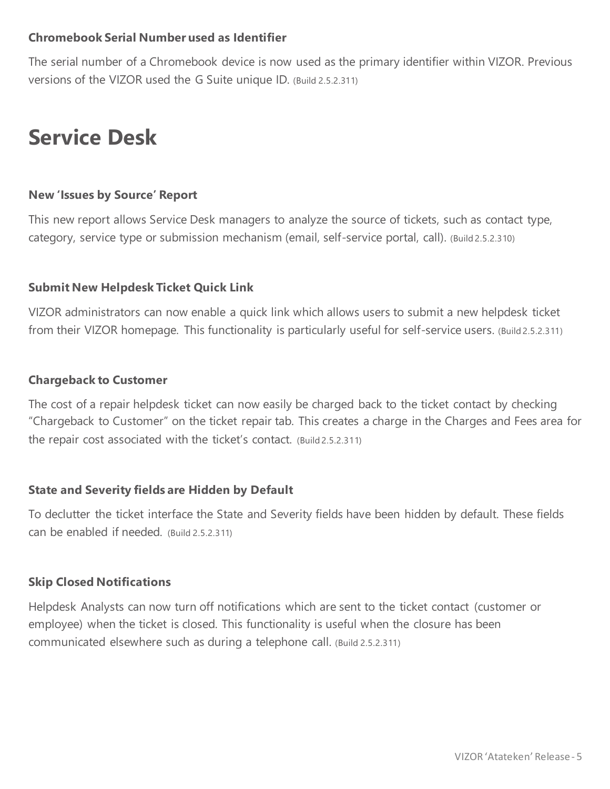### **Chromebook Serial Number used as Identifier**

The serial number of a Chromebook device is now used as the primary identifier within VIZOR. Previous versions of the VIZOR used the G Suite unique ID. (Build 2.5.2.311)

# **Service Desk**

### **New 'Issues by Source' Report**

This new report allows Service Desk managers to analyze the source of tickets, such as contact type, category, service type or submission mechanism (email, self-service portal, call). (Build 2.5.2.310)

### **Submit New Helpdesk Ticket Quick Link**

VIZOR administrators can now enable a quick link which allows users to submit a new helpdesk ticket from their VIZOR homepage. This functionality is particularly useful for self-service users. (Build 2.5.2.311)

### **Chargeback to Customer**

The cost of a repair helpdesk ticket can now easily be charged back to the ticket contact by checking "Chargeback to Customer" on the ticket repair tab. This creates a charge in the Charges and Fees area for the repair cost associated with the ticket's contact. (Build 2.5.2.311)

### **State and Severity fields are Hidden by Default**

To declutter the ticket interface the State and Severity fields have been hidden by default. These fields can be enabled if needed. (Build 2.5.2.311)

### **Skip Closed Notifications**

Helpdesk Analysts can now turn off notifications which are sent to the ticket contact (customer or employee) when the ticket is closed. This functionality is useful when the closure has been communicated elsewhere such as during a telephone call. (Build 2.5.2.311)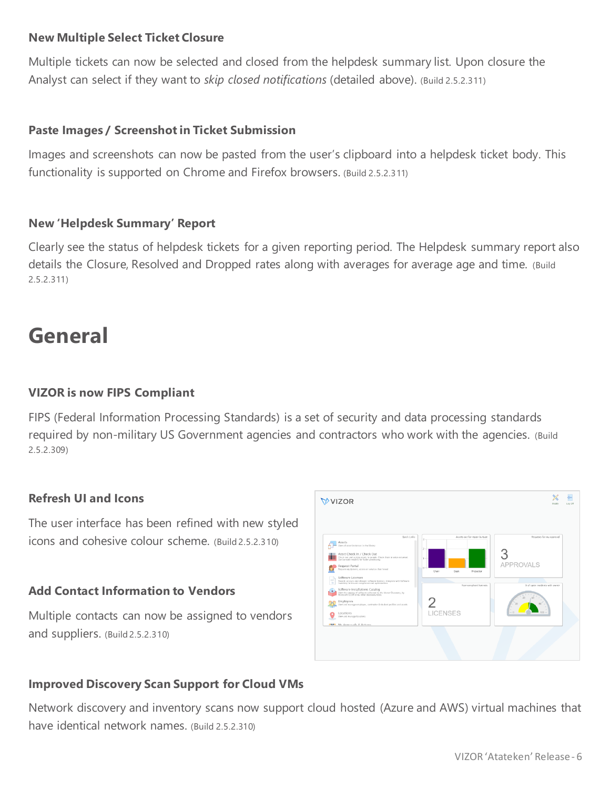### **New Multiple Select Ticket Closure**

Multiple tickets can now be selected and closed from the helpdesk summary list. Upon closure the Analyst can select if they want to *skip closed notifications* (detailed above). (Build 2.5.2.311)

### **Paste Images / Screenshot in Ticket Submission**

Images and screenshots can now be pasted from the user's clipboard into a helpdesk ticket body. This functionality is supported on Chrome and Firefox browsers. (Build 2.5.2.311)

### **New 'Helpdesk Summary' Report**

Clearly see the status of helpdesk tickets for a given reporting period. The Helpdesk summary report also details the Closure, Resolved and Dropped rates along with averages for average age and time. (Build 2.5.2.311)

## **General**

### **VIZOR is now FIPS Compliant**

FIPS (Federal Information Processing Standards) is a set of security and data processing standards required by non-military US Government agencies and contractors who work with the agencies. (Build 2.5.2.309)

### **Refresh UI and Icons**

The user interface has been refined with new styled icons and cohesive colour scheme. (Build 2.5.2.310)

### **Add Contact Information to Vendors**

Multiple contacts can now be assigned to vendors and suppliers. (Build 2.5.2.310)



## **Improved Discovery Scan Support for Cloud VMs**

Network discovery and inventory scans now support cloud hosted (Azure and AWS) virtual machines that have identical network names. (Build 2.5.2.310)